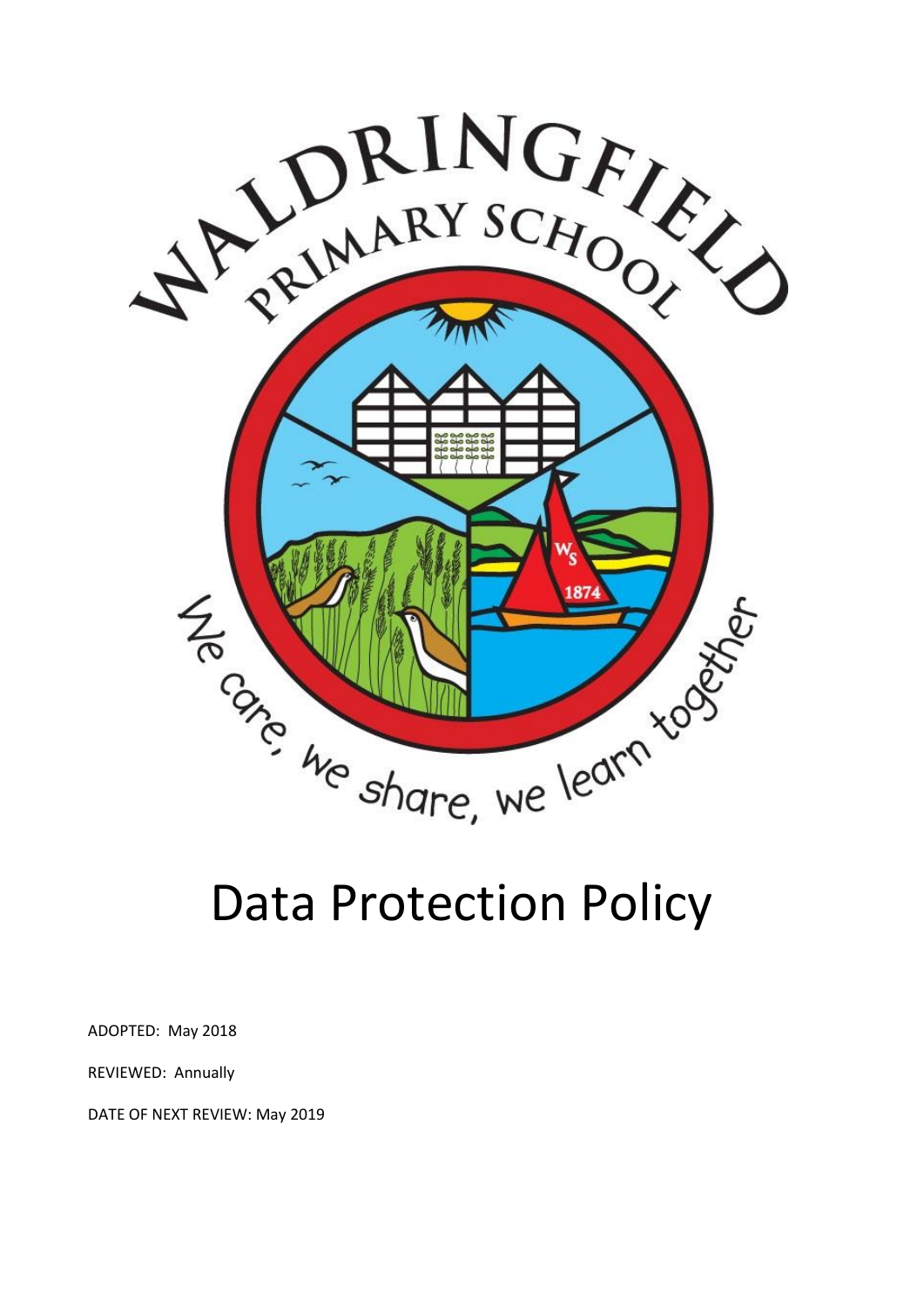

# Data Protection Policy

ADOPTED: May 2018

REVIEWED: Annually

DATE OF NEXT REVIEW: May 2019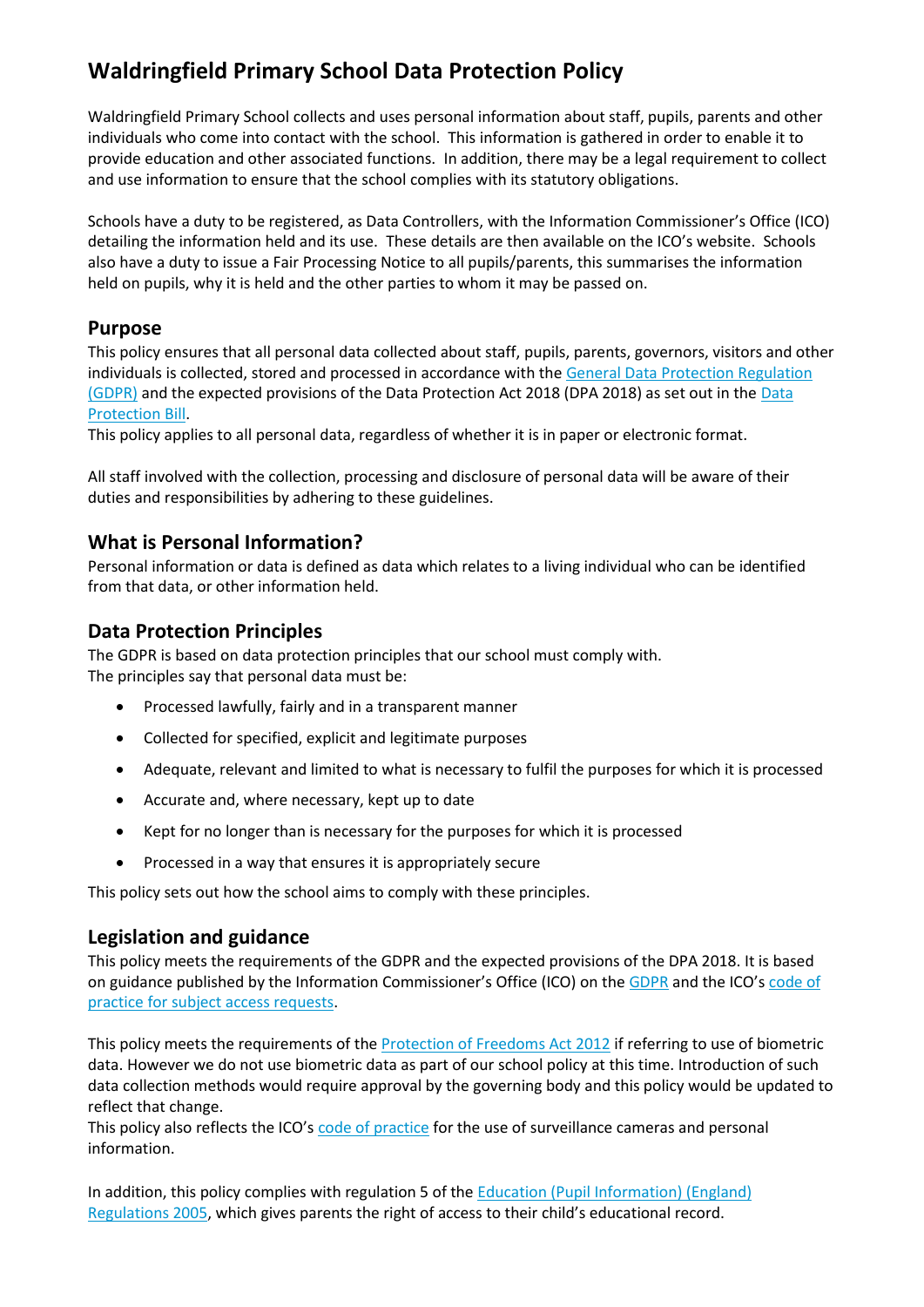# **Waldringfield Primary School Data Protection Policy**

Waldringfield Primary School collects and uses personal information about staff, pupils, parents and other individuals who come into contact with the school. This information is gathered in order to enable it to provide education and other associated functions. In addition, there may be a legal requirement to collect and use information to ensure that the school complies with its statutory obligations.

Schools have a duty to be registered, as Data Controllers, with the Information Commissioner's Office (ICO) detailing the information held and its use. These details are then available on the ICO's website. Schools also have a duty to issue a Fair Processing Notice to all pupils/parents, this summarises the information held on pupils, why it is held and the other parties to whom it may be passed on.

#### **Purpose**

This policy ensures that all personal data collected about staff, pupils, parents, governors, visitors and other individuals is collected, stored and processed in accordance with the [General Data Protection Regulation](http://data.consilium.europa.eu/doc/document/ST-5419-2016-INIT/en/pdf)  [\(GDPR\)](http://data.consilium.europa.eu/doc/document/ST-5419-2016-INIT/en/pdf) and the expected provisions of the Data Protection Act 2018 (DPA 2018) as set out in the [Data](https://publications.parliament.uk/pa/bills/cbill/2017-2019/0153/18153.pdf)  [Protection Bill.](https://publications.parliament.uk/pa/bills/cbill/2017-2019/0153/18153.pdf)

This policy applies to all personal data, regardless of whether it is in paper or electronic format.

All staff involved with the collection, processing and disclosure of personal data will be aware of their duties and responsibilities by adhering to these guidelines.

## **What is Personal Information?**

Personal information or data is defined as data which relates to a living individual who can be identified from that data, or other information held.

## **Data Protection Principles**

The GDPR is based on data protection principles that our school must comply with. The principles say that personal data must be:

- Processed lawfully, fairly and in a transparent manner
- Collected for specified, explicit and legitimate purposes
- Adequate, relevant and limited to what is necessary to fulfil the purposes for which it is processed
- Accurate and, where necessary, kept up to date
- Kept for no longer than is necessary for the purposes for which it is processed
- Processed in a way that ensures it is appropriately secure

This policy sets out how the school aims to comply with these principles.

## **Legislation and guidance**

This policy meets the requirements of the GDPR and the expected provisions of the DPA 2018. It is based on guidance published by the Information Commissioner's Office (ICO) on the [GDPR](https://ico.org.uk/for-organisations/guide-to-the-general-data-protection-regulation-gdpr/) and the ICO's [code of](https://ico.org.uk/media/for-organisations/documents/2014223/subject-access-code-of-practice.pdf)  [practice for subject access requests.](https://ico.org.uk/media/for-organisations/documents/2014223/subject-access-code-of-practice.pdf)

This policy meets the requirements of the [Protection of Freedoms Act 2012](https://www.legislation.gov.uk/ukpga/2012/9/part/1/chapter/2) if referring to use of biometric data. However we do not use biometric data as part of our school policy at this time. Introduction of such data collection methods would require approval by the governing body and this policy would be updated to reflect that change.

This policy also reflects the ICO's [code of practice](https://ico.org.uk/media/for-organisations/documents/1542/cctv-code-of-practice.pdf) for the use of surveillance cameras and personal information.

In addition, this policy complies with regulation 5 of the Education (Pupil Information) (England) [Regulations 2005](http://www.legislation.gov.uk/uksi/2005/1437/regulation/5/made), which gives parents the right of access to their child's educational record.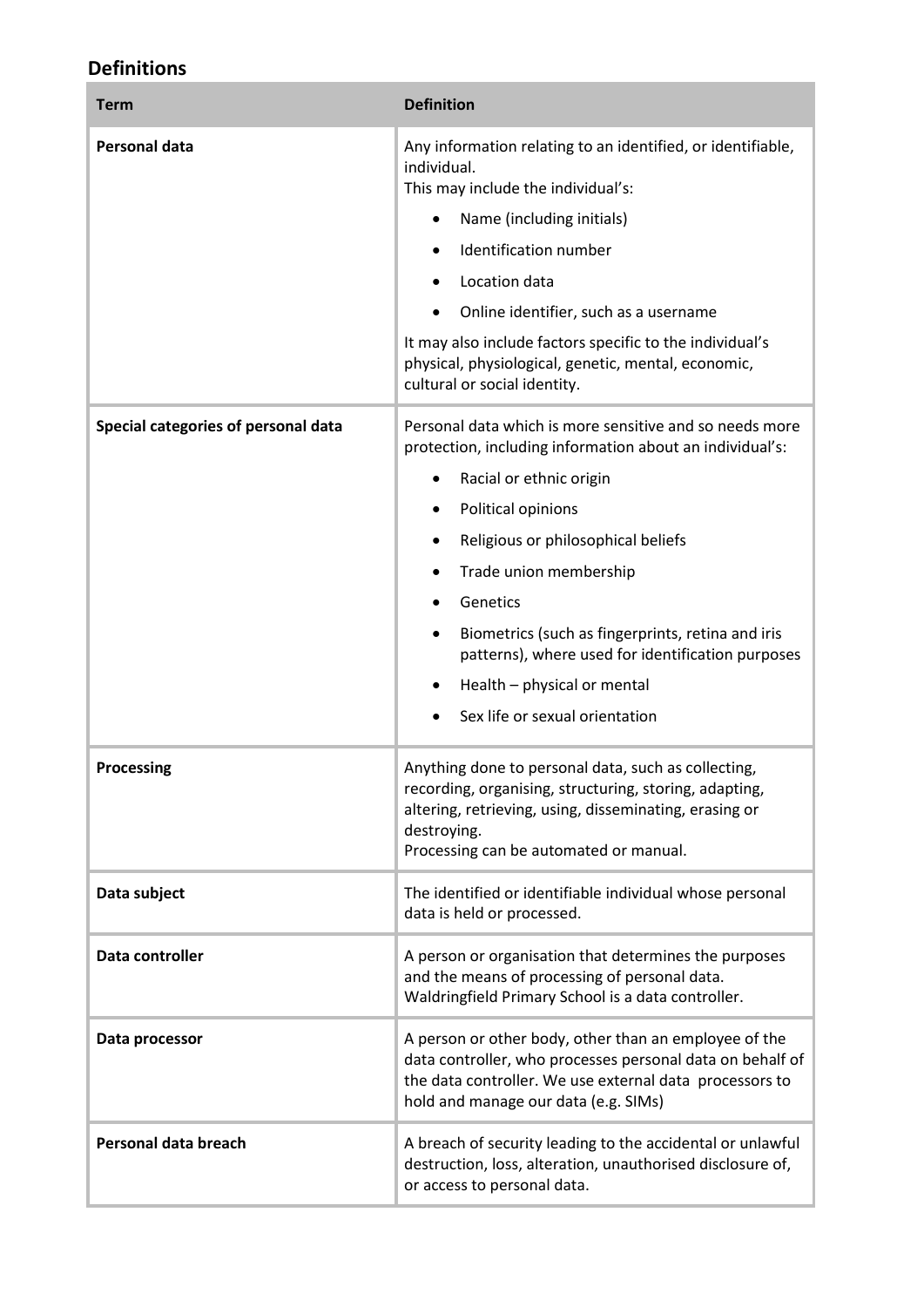## **Definitions**

| <b>Term</b>                         | <b>Definition</b>                                                                                                                                                                                                                                                                                                                                                                                                           |
|-------------------------------------|-----------------------------------------------------------------------------------------------------------------------------------------------------------------------------------------------------------------------------------------------------------------------------------------------------------------------------------------------------------------------------------------------------------------------------|
| <b>Personal data</b>                | Any information relating to an identified, or identifiable,<br>individual.<br>This may include the individual's:<br>Name (including initials)<br>Identification number<br>Location data<br>Online identifier, such as a username<br>It may also include factors specific to the individual's<br>physical, physiological, genetic, mental, economic,<br>cultural or social identity.                                         |
| Special categories of personal data | Personal data which is more sensitive and so needs more<br>protection, including information about an individual's:<br>Racial or ethnic origin<br>Political opinions<br>Religious or philosophical beliefs<br>Trade union membership<br>Genetics<br>Biometrics (such as fingerprints, retina and iris<br>patterns), where used for identification purposes<br>Health - physical or mental<br>Sex life or sexual orientation |
| <b>Processing</b>                   | Anything done to personal data, such as collecting,<br>recording, organising, structuring, storing, adapting,<br>altering, retrieving, using, disseminating, erasing or<br>destroying.<br>Processing can be automated or manual.                                                                                                                                                                                            |
| Data subject                        | The identified or identifiable individual whose personal<br>data is held or processed.                                                                                                                                                                                                                                                                                                                                      |
| Data controller                     | A person or organisation that determines the purposes<br>and the means of processing of personal data.<br>Waldringfield Primary School is a data controller.                                                                                                                                                                                                                                                                |
| Data processor                      | A person or other body, other than an employee of the<br>data controller, who processes personal data on behalf of<br>the data controller. We use external data processors to<br>hold and manage our data (e.g. SIMs)                                                                                                                                                                                                       |
| Personal data breach                | A breach of security leading to the accidental or unlawful<br>destruction, loss, alteration, unauthorised disclosure of,<br>or access to personal data.                                                                                                                                                                                                                                                                     |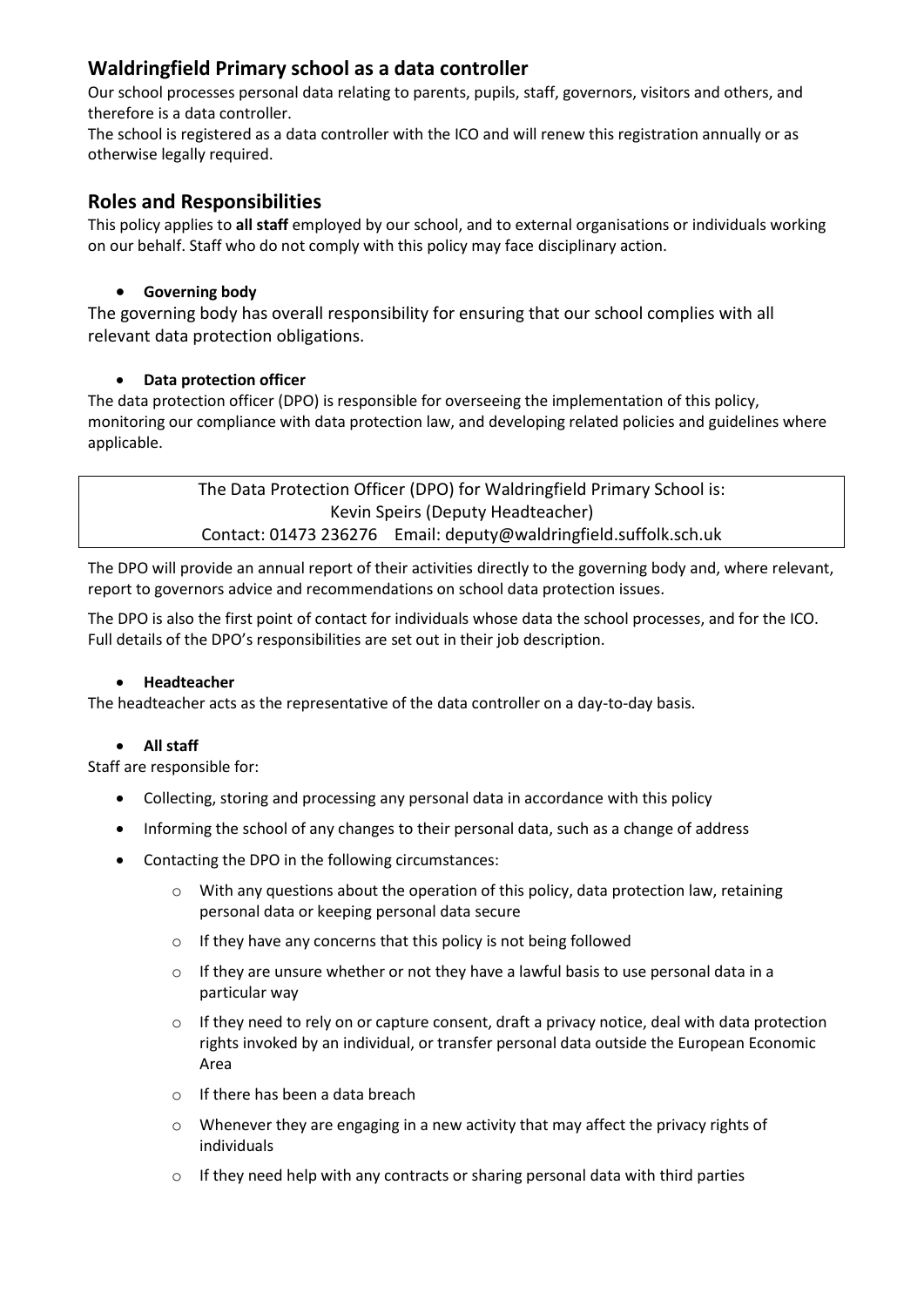## **Waldringfield Primary school as a data controller**

Our school processes personal data relating to parents, pupils, staff, governors, visitors and others, and therefore is a data controller.

The school is registered as a data controller with the ICO and will renew this registration annually or as otherwise legally required.

#### **Roles and Responsibilities**

This policy applies to **all staff** employed by our school, and to external organisations or individuals working on our behalf. Staff who do not comply with this policy may face disciplinary action.

#### **Governing body**

The governing body has overall responsibility for ensuring that our school complies with all relevant data protection obligations.

#### **Data protection officer**

The data protection officer (DPO) is responsible for overseeing the implementation of this policy, monitoring our compliance with data protection law, and developing related policies and guidelines where applicable.

> The Data Protection Officer (DPO) for Waldringfield Primary School is: Kevin Speirs (Deputy Headteacher) Contact: 01473 236276 Email: deputy@waldringfield.suffolk.sch.uk

The DPO will provide an annual report of their activities directly to the governing body and, where relevant, report to governors advice and recommendations on school data protection issues.

The DPO is also the first point of contact for individuals whose data the school processes, and for the ICO. Full details of the DPO's responsibilities are set out in their job description.

#### **Headteacher**

The headteacher acts as the representative of the data controller on a day-to-day basis.

#### **All staff**

Staff are responsible for:

- Collecting, storing and processing any personal data in accordance with this policy
- Informing the school of any changes to their personal data, such as a change of address
- Contacting the DPO in the following circumstances:
	- o With any questions about the operation of this policy, data protection law, retaining personal data or keeping personal data secure
	- o If they have any concerns that this policy is not being followed
	- $\circ$  If they are unsure whether or not they have a lawful basis to use personal data in a particular way
	- $\circ$  If they need to rely on or capture consent, draft a privacy notice, deal with data protection rights invoked by an individual, or transfer personal data outside the European Economic Area
	- o If there has been a data breach
	- $\circ$  Whenever they are engaging in a new activity that may affect the privacy rights of individuals
	- $\circ$  If they need help with any contracts or sharing personal data with third parties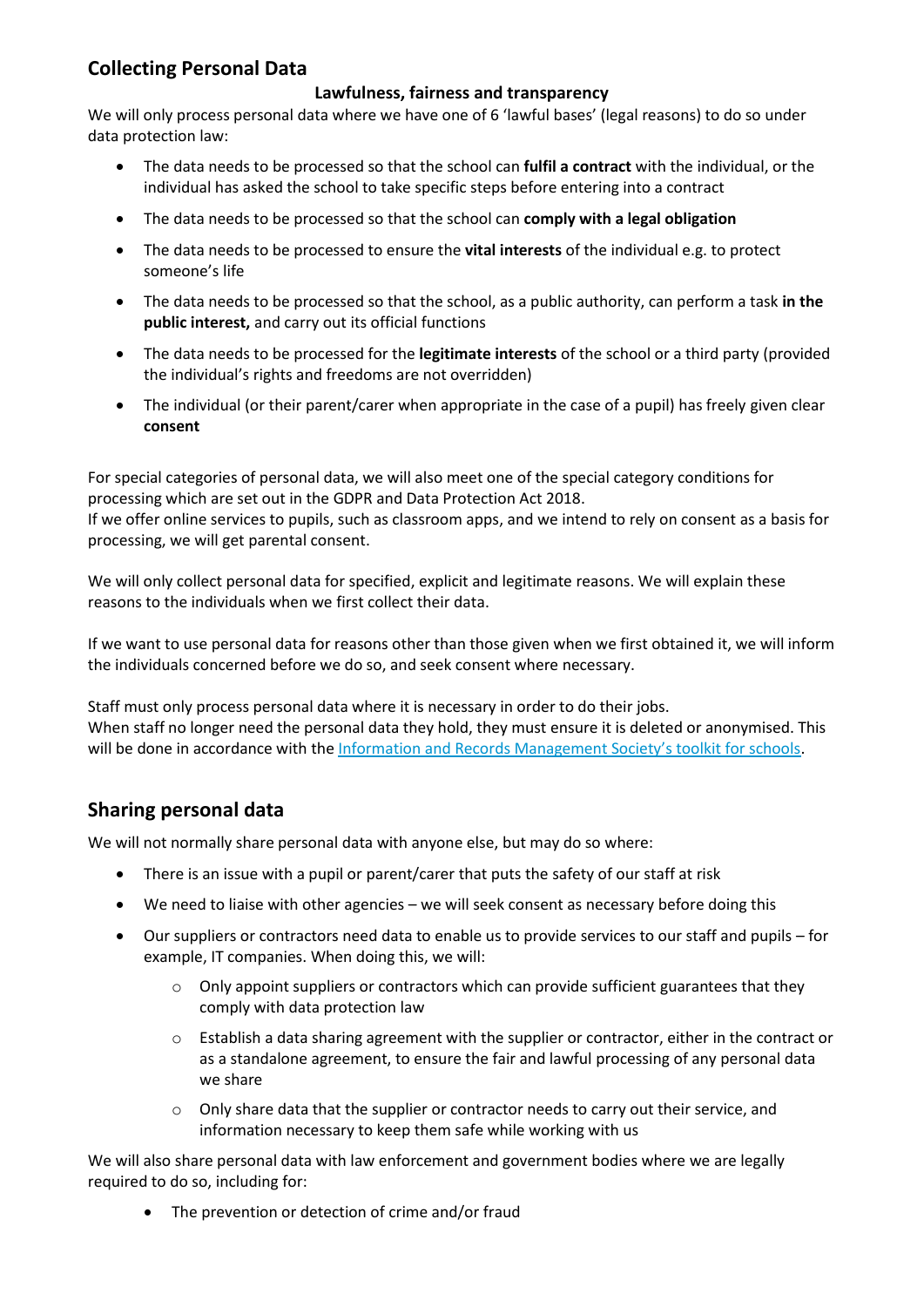## **Collecting Personal Data**

#### **Lawfulness, fairness and transparency**

We will only process personal data where we have one of 6 'lawful bases' (legal reasons) to do so under data protection law:

- The data needs to be processed so that the school can **fulfil a contract** with the individual, or the individual has asked the school to take specific steps before entering into a contract
- The data needs to be processed so that the school can **comply with a legal obligation**
- The data needs to be processed to ensure the **vital interests** of the individual e.g. to protect someone's life
- The data needs to be processed so that the school, as a public authority, can perform a task **in the public interest,** and carry out its official functions
- The data needs to be processed for the **legitimate interests** of the school or a third party (provided the individual's rights and freedoms are not overridden)
- The individual (or their parent/carer when appropriate in the case of a pupil) has freely given clear **consent**

For special categories of personal data, we will also meet one of the special category conditions for processing which are set out in the GDPR and Data Protection Act 2018.

If we offer online services to pupils, such as classroom apps, and we intend to rely on consent as a basis for processing, we will get parental consent.

We will only collect personal data for specified, explicit and legitimate reasons. We will explain these reasons to the individuals when we first collect their data.

If we want to use personal data for reasons other than those given when we first obtained it, we will inform the individuals concerned before we do so, and seek consent where necessary.

Staff must only process personal data where it is necessary in order to do their jobs. When staff no longer need the personal data they hold, they must ensure it is deleted or anonymised. This will be done in accordance with the Inf[ormation and Records Management Society's toolkit for schools](http://irms.org.uk/?page=schoolstoolkit&terms=%22toolkit+and+schools%22).

## **Sharing personal data**

We will not normally share personal data with anyone else, but may do so where:

- There is an issue with a pupil or parent/carer that puts the safety of our staff at risk
- We need to liaise with other agencies we will seek consent as necessary before doing this
- Our suppliers or contractors need data to enable us to provide services to our staff and pupils for example, IT companies. When doing this, we will:
	- $\circ$  Only appoint suppliers or contractors which can provide sufficient guarantees that they comply with data protection law
	- $\circ$  Establish a data sharing agreement with the supplier or contractor, either in the contract or as a standalone agreement, to ensure the fair and lawful processing of any personal data we share
	- $\circ$  Only share data that the supplier or contractor needs to carry out their service, and information necessary to keep them safe while working with us

We will also share personal data with law enforcement and government bodies where we are legally required to do so, including for:

The prevention or detection of crime and/or fraud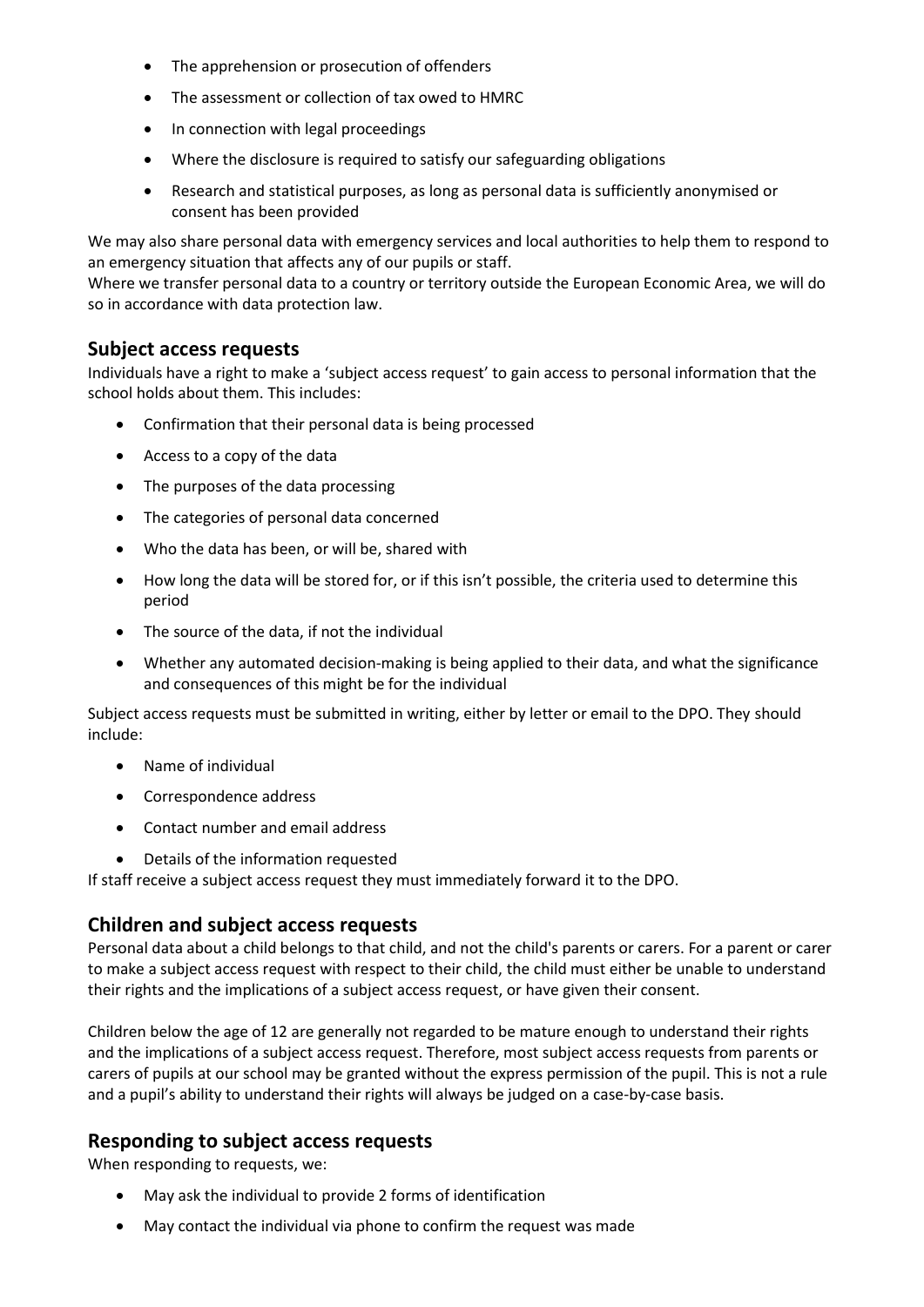- The apprehension or prosecution of offenders
- The assessment or collection of tax owed to HMRC
- In connection with legal proceedings
- Where the disclosure is required to satisfy our safeguarding obligations
- Research and statistical purposes, as long as personal data is sufficiently anonymised or consent has been provided

We may also share personal data with emergency services and local authorities to help them to respond to an emergency situation that affects any of our pupils or staff.

Where we transfer personal data to a country or territory outside the European Economic Area, we will do so in accordance with data protection law.

#### **Subject access requests**

Individuals have a right to make a 'subject access request' to gain access to personal information that the school holds about them. This includes:

- Confirmation that their personal data is being processed
- Access to a copy of the data
- The purposes of the data processing
- The categories of personal data concerned
- Who the data has been, or will be, shared with
- How long the data will be stored for, or if this isn't possible, the criteria used to determine this period
- The source of the data, if not the individual
- Whether any automated decision-making is being applied to their data, and what the significance and consequences of this might be for the individual

Subject access requests must be submitted in writing, either by letter or email to the DPO. They should include:

- Name of individual
- Correspondence address
- Contact number and email address
- Details of the information requested

If staff receive a subject access request they must immediately forward it to the DPO.

#### **Children and subject access requests**

Personal data about a child belongs to that child, and not the child's parents or carers. For a parent or carer to make a subject access request with respect to their child, the child must either be unable to understand their rights and the implications of a subject access request, or have given their consent.

Children below the age of 12 are generally not regarded to be mature enough to understand their rights and the implications of a subject access request. Therefore, most subject access requests from parents or carers of pupils at our school may be granted without the express permission of the pupil. This is not a rule and a pupil's ability to understand their rights will always be judged on a case-by-case basis.

#### **Responding to subject access requests**

When responding to requests, we:

- May ask the individual to provide 2 forms of identification
- May contact the individual via phone to confirm the request was made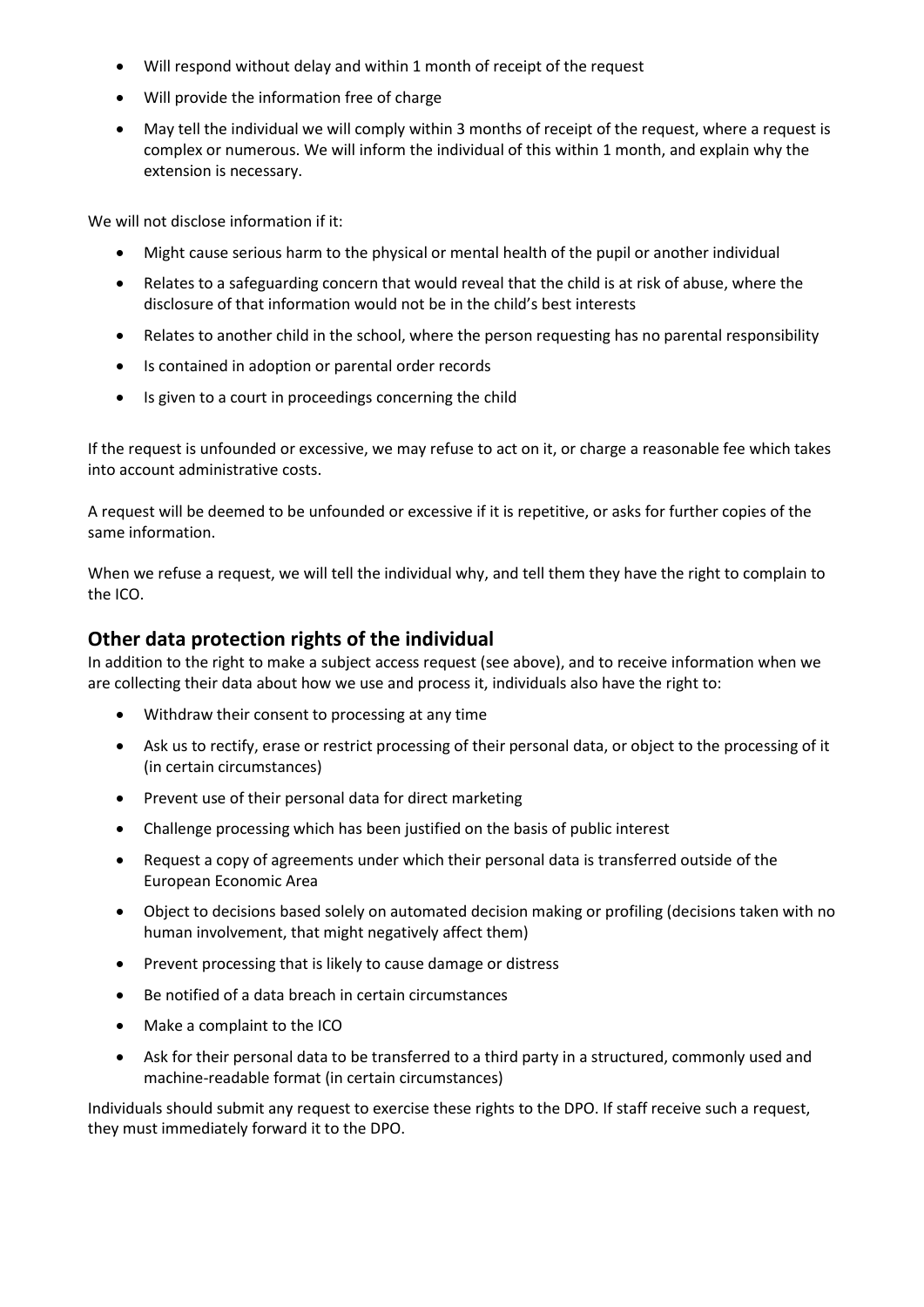- Will respond without delay and within 1 month of receipt of the request
- Will provide the information free of charge
- May tell the individual we will comply within 3 months of receipt of the request, where a request is complex or numerous. We will inform the individual of this within 1 month, and explain why the extension is necessary.

We will not disclose information if it:

- Might cause serious harm to the physical or mental health of the pupil or another individual
- Relates to a safeguarding concern that would reveal that the child is at risk of abuse, where the disclosure of that information would not be in the child's best interests
- Relates to another child in the school, where the person requesting has no parental responsibility
- Is contained in adoption or parental order records
- Is given to a court in proceedings concerning the child

If the request is unfounded or excessive, we may refuse to act on it, or charge a reasonable fee which takes into account administrative costs.

A request will be deemed to be unfounded or excessive if it is repetitive, or asks for further copies of the same information.

When we refuse a request, we will tell the individual why, and tell them they have the right to complain to the ICO.

#### **Other data protection rights of the individual**

In addition to the right to make a subject access request (see above), and to receive information when we are collecting their data about how we use and process it, individuals also have the right to:

- Withdraw their consent to processing at any time
- Ask us to rectify, erase or restrict processing of their personal data, or object to the processing of it (in certain circumstances)
- Prevent use of their personal data for direct marketing
- Challenge processing which has been justified on the basis of public interest
- Request a copy of agreements under which their personal data is transferred outside of the European Economic Area
- Object to decisions based solely on automated decision making or profiling (decisions taken with no human involvement, that might negatively affect them)
- Prevent processing that is likely to cause damage or distress
- Be notified of a data breach in certain circumstances
- Make a complaint to the ICO
- Ask for their personal data to be transferred to a third party in a structured, commonly used and machine-readable format (in certain circumstances)

Individuals should submit any request to exercise these rights to the DPO. If staff receive such a request, they must immediately forward it to the DPO.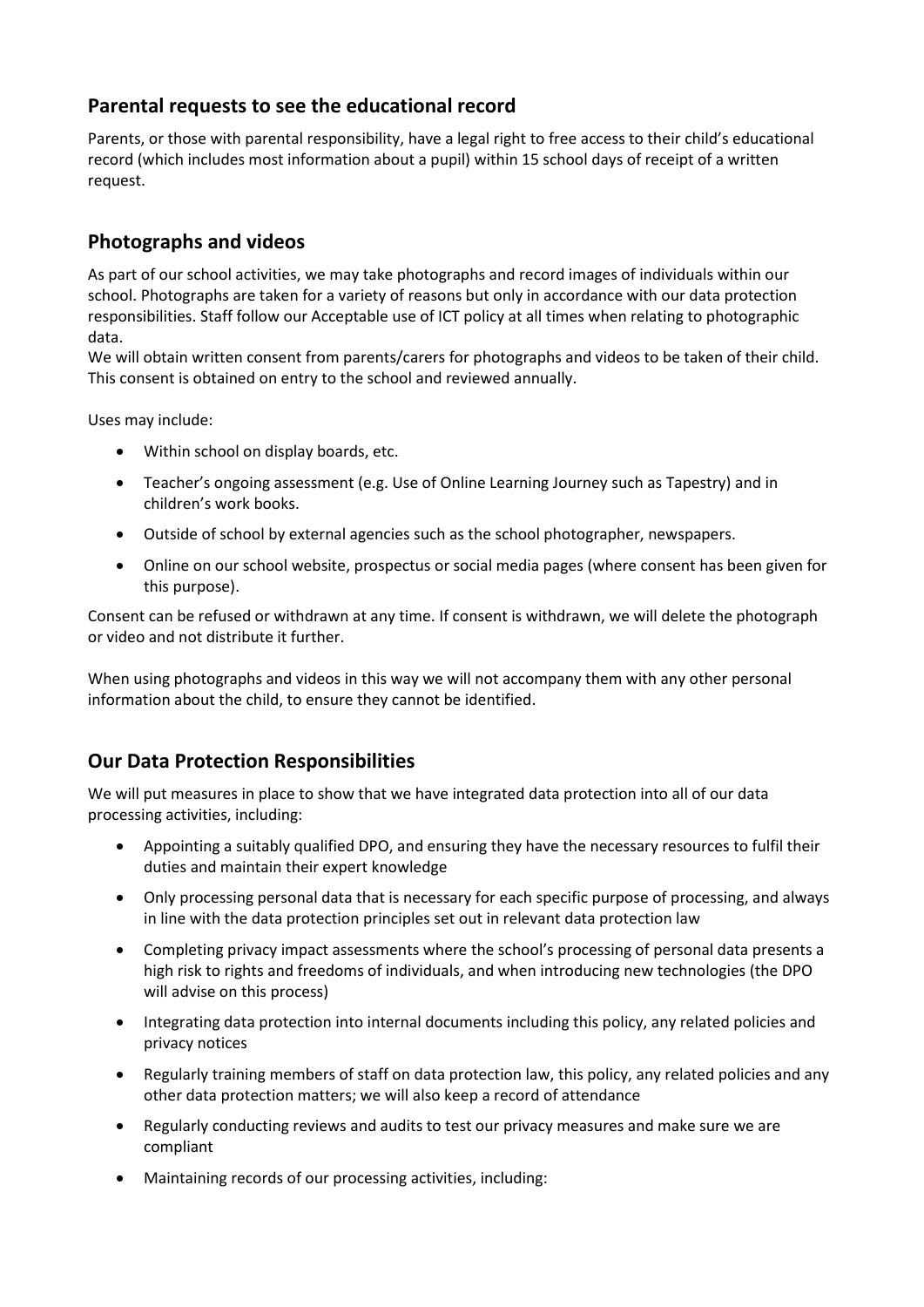## **Parental requests to see the educational record**

Parents, or those with parental responsibility, have a legal right to free access to their child's educational record (which includes most information about a pupil) within 15 school days of receipt of a written request.

## **Photographs and videos**

As part of our school activities, we may take photographs and record images of individuals within our school. Photographs are taken for a variety of reasons but only in accordance with our data protection responsibilities. Staff follow our Acceptable use of ICT policy at all times when relating to photographic data.

We will obtain written consent from parents/carers for photographs and videos to be taken of their child. This consent is obtained on entry to the school and reviewed annually.

Uses may include:

- Within school on display boards, etc.
- Teacher's ongoing assessment (e.g. Use of Online Learning Journey such as Tapestry) and in children's work books.
- Outside of school by external agencies such as the school photographer, newspapers.
- Online on our school website, prospectus or social media pages (where consent has been given for this purpose).

Consent can be refused or withdrawn at any time. If consent is withdrawn, we will delete the photograph or video and not distribute it further.

When using photographs and videos in this way we will not accompany them with any other personal information about the child, to ensure they cannot be identified.

## **Our Data Protection Responsibilities**

We will put measures in place to show that we have integrated data protection into all of our data processing activities, including:

- Appointing a suitably qualified DPO, and ensuring they have the necessary resources to fulfil their duties and maintain their expert knowledge
- Only processing personal data that is necessary for each specific purpose of processing, and always in line with the data protection principles set out in relevant data protection law
- Completing privacy impact assessments where the school's processing of personal data presents a high risk to rights and freedoms of individuals, and when introducing new technologies (the DPO will advise on this process)
- Integrating data protection into internal documents including this policy, any related policies and privacy notices
- Regularly training members of staff on data protection law, this policy, any related policies and any other data protection matters; we will also keep a record of attendance
- Regularly conducting reviews and audits to test our privacy measures and make sure we are compliant
- Maintaining records of our processing activities, including: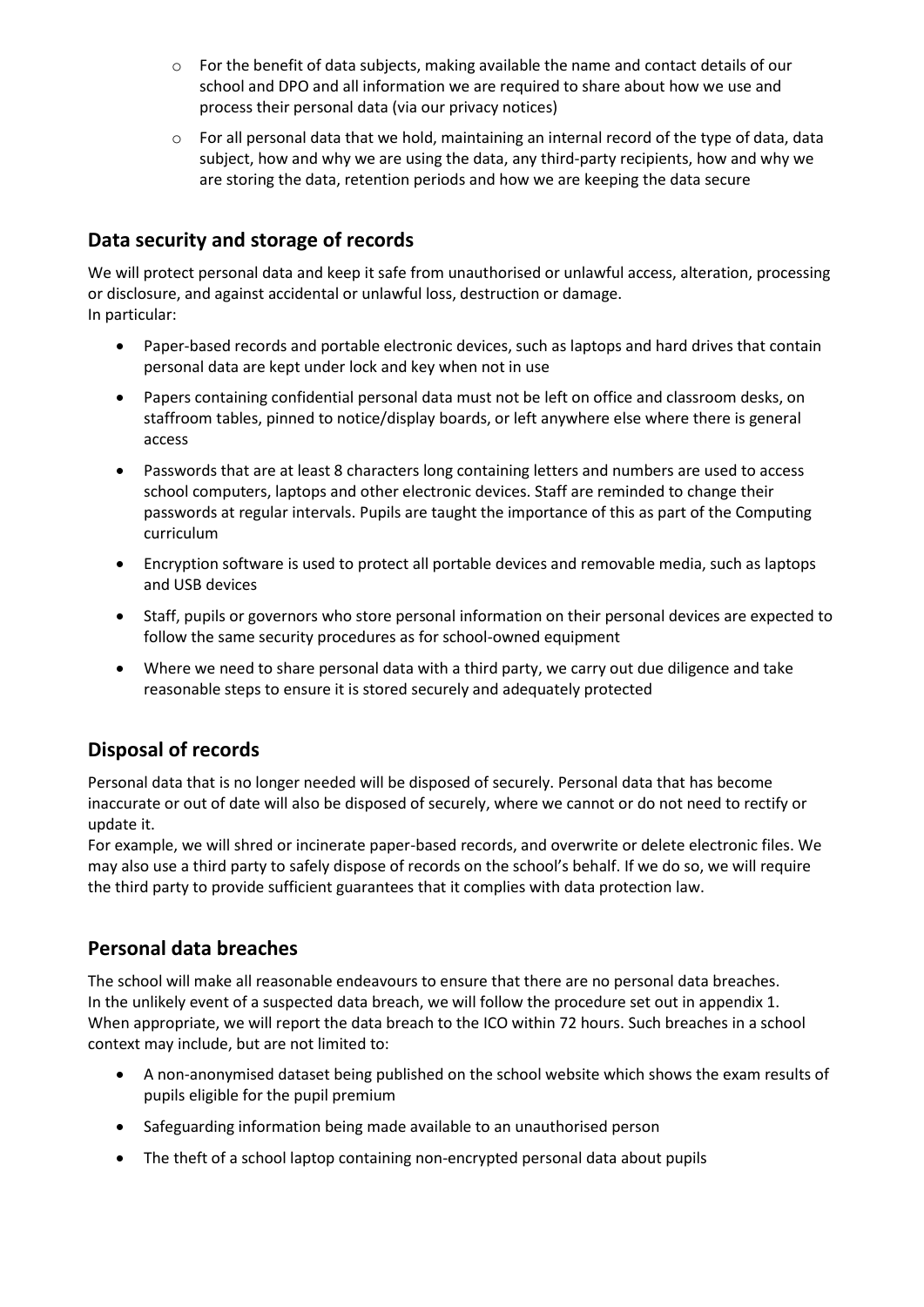- $\circ$  For the benefit of data subjects, making available the name and contact details of our school and DPO and all information we are required to share about how we use and process their personal data (via our privacy notices)
- $\circ$  For all personal data that we hold, maintaining an internal record of the type of data, data subject, how and why we are using the data, any third-party recipients, how and why we are storing the data, retention periods and how we are keeping the data secure

## **Data security and storage of records**

We will protect personal data and keep it safe from unauthorised or unlawful access, alteration, processing or disclosure, and against accidental or unlawful loss, destruction or damage. In particular:

- Paper-based records and portable electronic devices, such as laptops and hard drives that contain personal data are kept under lock and key when not in use
- Papers containing confidential personal data must not be left on office and classroom desks, on staffroom tables, pinned to notice/display boards, or left anywhere else where there is general access
- Passwords that are at least 8 characters long containing letters and numbers are used to access school computers, laptops and other electronic devices. Staff are reminded to change their passwords at regular intervals. Pupils are taught the importance of this as part of the Computing curriculum
- Encryption software is used to protect all portable devices and removable media, such as laptops and USB devices
- Staff, pupils or governors who store personal information on their personal devices are expected to follow the same security procedures as for school-owned equipment
- Where we need to share personal data with a third party, we carry out due diligence and take reasonable steps to ensure it is stored securely and adequately protected

## **Disposal of records**

Personal data that is no longer needed will be disposed of securely. Personal data that has become inaccurate or out of date will also be disposed of securely, where we cannot or do not need to rectify or update it.

For example, we will shred or incinerate paper-based records, and overwrite or delete electronic files. We may also use a third party to safely dispose of records on the school's behalf. If we do so, we will require the third party to provide sufficient guarantees that it complies with data protection law.

#### **Personal data breaches**

The school will make all reasonable endeavours to ensure that there are no personal data breaches. In the unlikely event of a suspected data breach, we will follow the procedure set out in appendix 1. When appropriate, we will report the data breach to the ICO within 72 hours. Such breaches in a school context may include, but are not limited to:

- A non-anonymised dataset being published on the school website which shows the exam results of pupils eligible for the pupil premium
- Safeguarding information being made available to an unauthorised person
- The theft of a school laptop containing non-encrypted personal data about pupils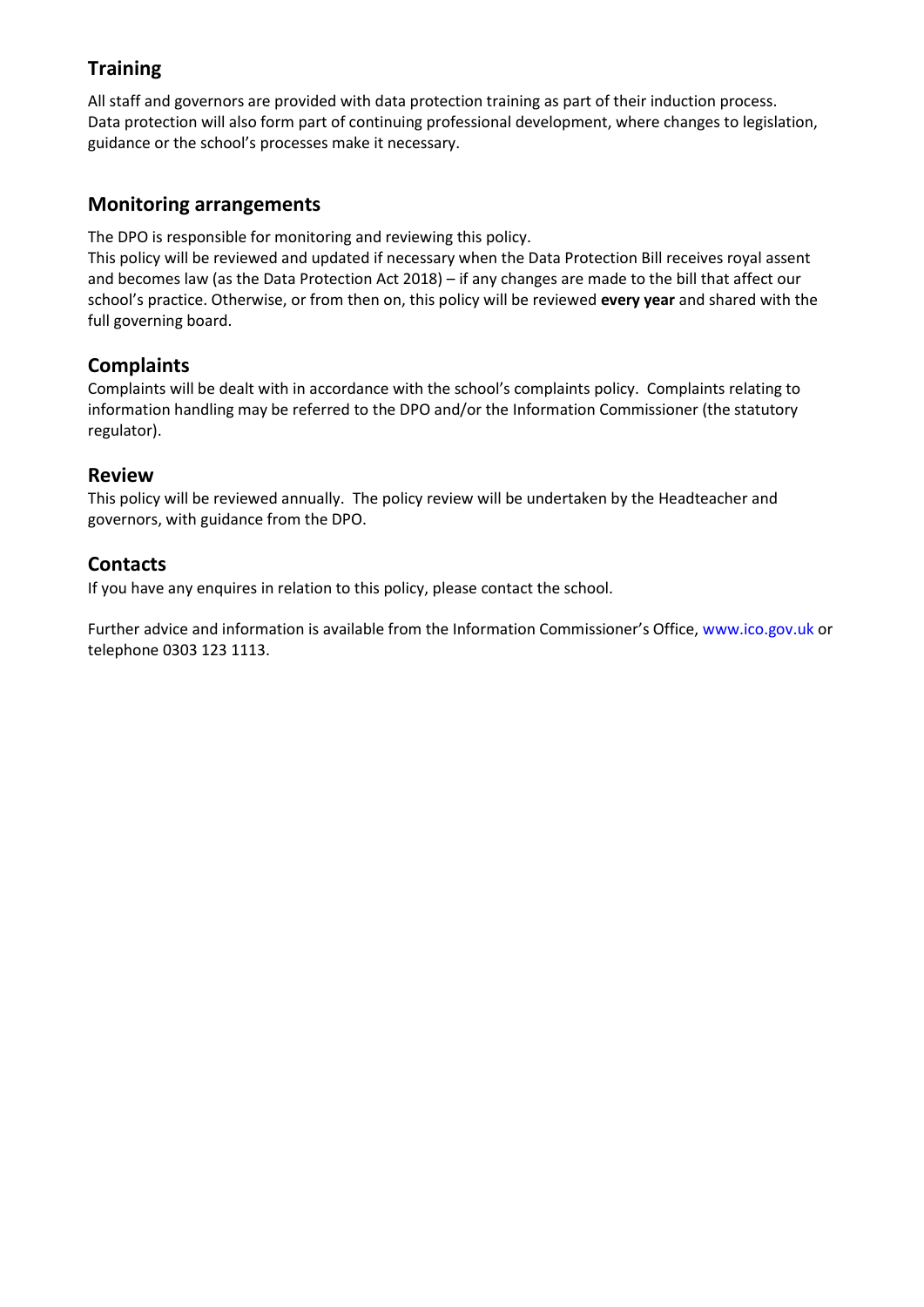## **Training**

All staff and governors are provided with data protection training as part of their induction process. Data protection will also form part of continuing professional development, where changes to legislation, guidance or the school's processes make it necessary.

#### **Monitoring arrangements**

The DPO is responsible for monitoring and reviewing this policy.

This policy will be reviewed and updated if necessary when the Data Protection Bill receives royal assent and becomes law (as the Data Protection Act 2018) – if any changes are made to the bill that affect our school's practice. Otherwise, or from then on, this policy will be reviewed **every year** and shared with the full governing board.

## **Complaints**

Complaints will be dealt with in accordance with the school's complaints policy. Complaints relating to information handling may be referred to the DPO and/or the Information Commissioner (the statutory regulator).

#### **Review**

This policy will be reviewed annually. The policy review will be undertaken by the Headteacher and governors, with guidance from the DPO.

#### **Contacts**

If you have any enquires in relation to this policy, please contact the school.

Further advice and information is available from the Information Commissioner's Office, www.ico.gov.uk or telephone 0303 123 1113.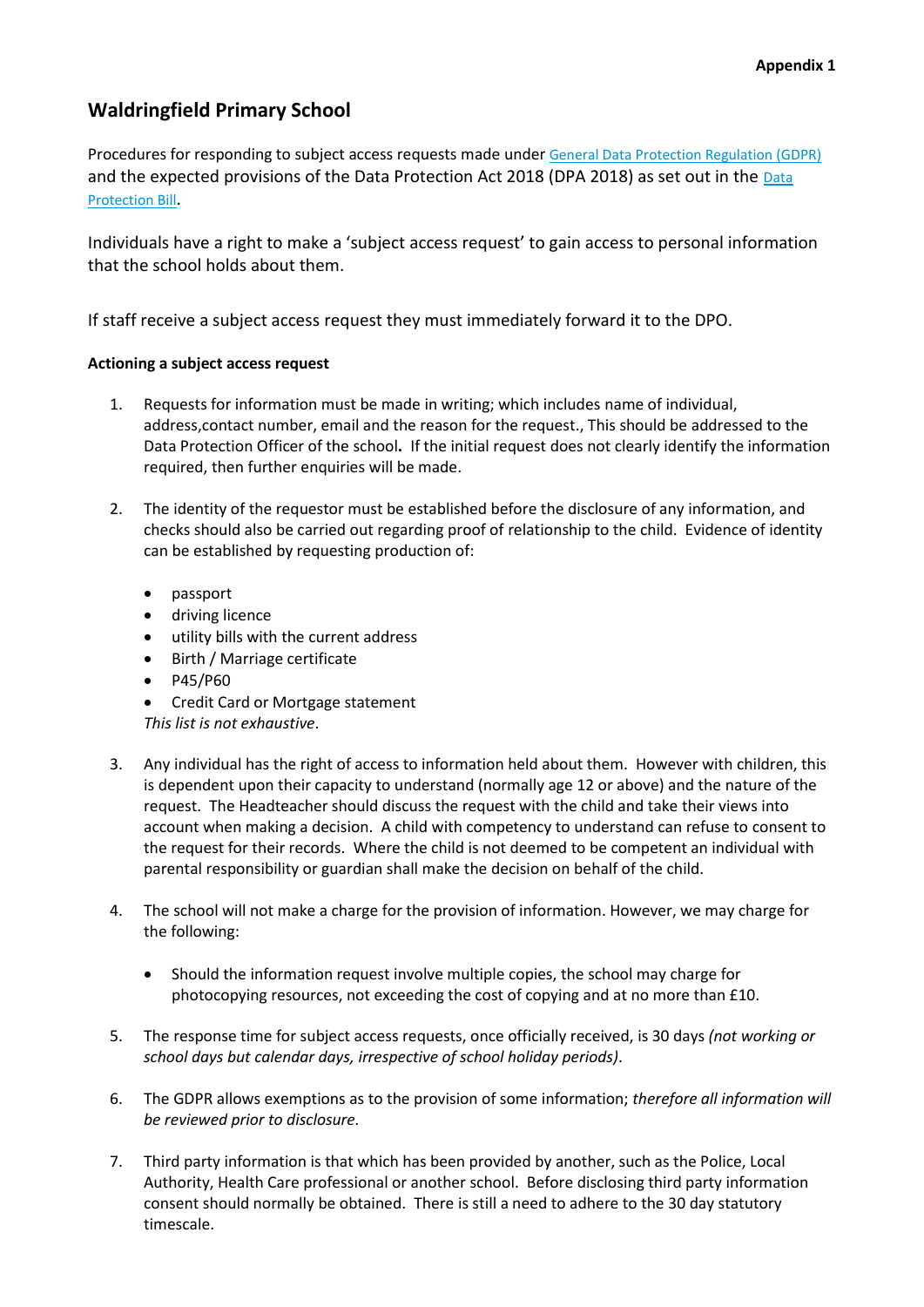## **Waldringfield Primary School**

Procedures for responding to subject access requests made under [General Data Protection Regulation \(GDPR\)](http://data.consilium.europa.eu/doc/document/ST-5419-2016-INIT/en/pdf) and the expected provisions of the [Data](https://publications.parliament.uk/pa/bills/cbill/2017-2019/0153/18153.pdf) Protection Act 2018 (DPA 2018) as set out in the Data [Protection Bill](https://publications.parliament.uk/pa/bills/cbill/2017-2019/0153/18153.pdf).

Individuals have a right to make a 'subject access request' to gain access to personal information that the school holds about them.

If staff receive a subject access request they must immediately forward it to the DPO.

#### **Actioning a subject access request**

- 1. Requests for information must be made in writing; which includes name of individual, address,contact number, email and the reason for the request., This should be addressed to the Data Protection Officer of the school**.** If the initial request does not clearly identify the information required, then further enquiries will be made.
- 2. The identity of the requestor must be established before the disclosure of any information, and checks should also be carried out regarding proof of relationship to the child. Evidence of identity can be established by requesting production of:
	- passport
	- driving licence
	- utility bills with the current address
	- Birth / Marriage certificate
	- $\bullet$  P45/P60
	- Credit Card or Mortgage statement

*This list is not exhaustive*.

- 3. Any individual has the right of access to information held about them. However with children, this is dependent upon their capacity to understand (normally age 12 or above) and the nature of the request. The Headteacher should discuss the request with the child and take their views into account when making a decision. A child with competency to understand can refuse to consent to the request for their records. Where the child is not deemed to be competent an individual with parental responsibility or guardian shall make the decision on behalf of the child.
- 4. The school will not make a charge for the provision of information. However, we may charge for the following:
	- Should the information request involve multiple copies, the school may charge for photocopying resources, not exceeding the cost of copying and at no more than £10.
- 5. The response time for subject access requests, once officially received, is 30 days *(not working or school days but calendar days, irrespective of school holiday periods)*.
- 6. The GDPR allows exemptions as to the provision of some information; *therefore all information will be reviewed prior to disclosure.*
- 7. Third party information is that which has been provided by another, such as the Police, Local Authority, Health Care professional or another school. Before disclosing third party information consent should normally be obtained. There is still a need to adhere to the 30 day statutory timescale.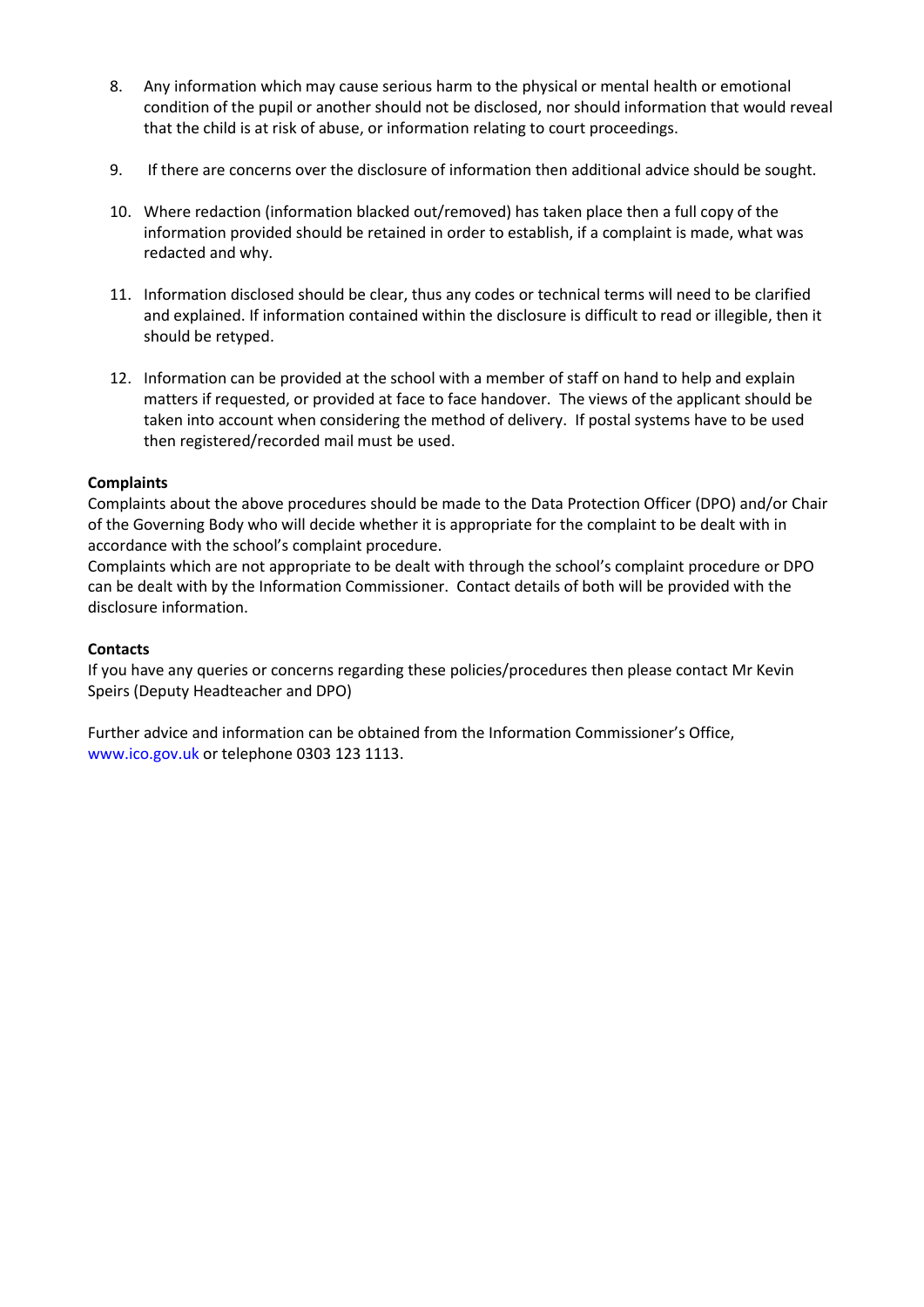- 8. Any information which may cause serious harm to the physical or mental health or emotional condition of the pupil or another should not be disclosed, nor should information that would reveal that the child is at risk of abuse, or information relating to court proceedings.
- 9. If there are concerns over the disclosure of information then additional advice should be sought.
- 10. Where redaction (information blacked out/removed) has taken place then a full copy of the information provided should be retained in order to establish, if a complaint is made, what was redacted and why.
- 11. Information disclosed should be clear, thus any codes or technical terms will need to be clarified and explained. If information contained within the disclosure is difficult to read or illegible, then it should be retyped.
- 12. Information can be provided at the school with a member of staff on hand to help and explain matters if requested, or provided at face to face handover. The views of the applicant should be taken into account when considering the method of delivery. If postal systems have to be used then registered/recorded mail must be used.

#### **Complaints**

Complaints about the above procedures should be made to the Data Protection Officer (DPO) and/or Chair of the Governing Body who will decide whether it is appropriate for the complaint to be dealt with in accordance with the school's complaint procedure.

Complaints which are not appropriate to be dealt with through the school's complaint procedure or DPO can be dealt with by the Information Commissioner. Contact details of both will be provided with the disclosure information.

#### **Contacts**

If you have any queries or concerns regarding these policies/procedures then please contact Mr Kevin Speirs (Deputy Headteacher and DPO)

Further advice and information can be obtained from the Information Commissioner's Office, www.ico.gov.uk or telephone 0303 123 1113.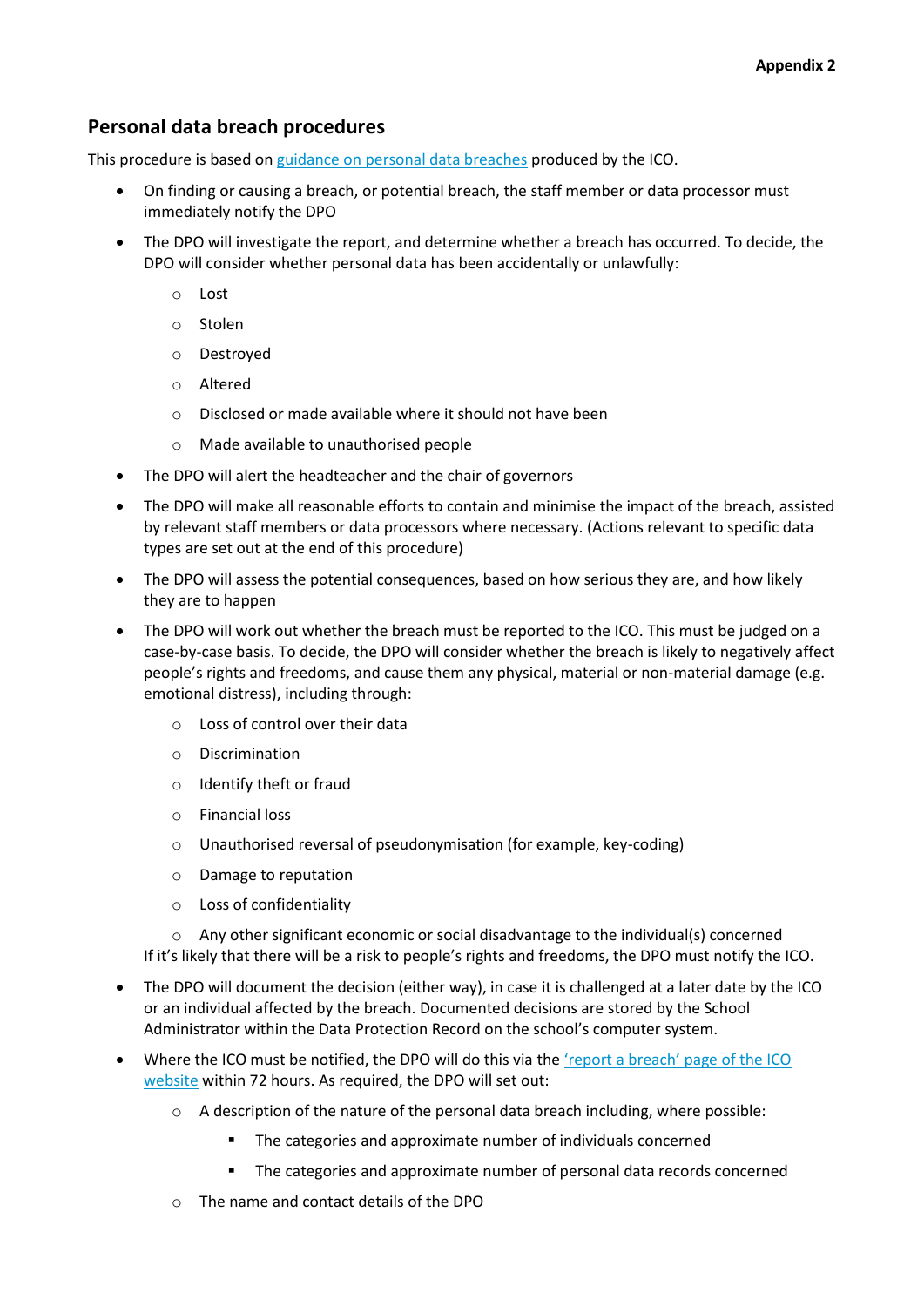## **Personal data breach procedures**

This procedure is based o[n guidance on personal data breaches](https://ico.org.uk/for-organisations/guide-to-the-general-data-protection-regulation-gdpr/personal-data-breaches/) produced by the ICO.

- On finding or causing a breach, or potential breach, the staff member or data processor must immediately notify the DPO
- The DPO will investigate the report, and determine whether a breach has occurred. To decide, the DPO will consider whether personal data has been accidentally or unlawfully:
	- o Lost
	- o Stolen
	- o Destroyed
	- o Altered
	- o Disclosed or made available where it should not have been
	- o Made available to unauthorised people
- The DPO will alert the headteacher and the chair of governors
- The DPO will make all reasonable efforts to contain and minimise the impact of the breach, assisted by relevant staff members or data processors where necessary. (Actions relevant to specific data types are set out at the end of this procedure)
- The DPO will assess the potential consequences, based on how serious they are, and how likely they are to happen
- The DPO will work out whether the breach must be reported to the ICO. This must be judged on a case-by-case basis. To decide, the DPO will consider whether the breach is likely to negatively affect people's rights and freedoms, and cause them any physical, material or non-material damage (e.g. emotional distress), including through:
	- o Loss of control over their data
	- o Discrimination
	- o Identify theft or fraud
	- o Financial loss
	- o Unauthorised reversal of pseudonymisation (for example, key-coding)
	- o Damage to reputation
	- o Loss of confidentiality

 $\circ$  Any other significant economic or social disadvantage to the individual(s) concerned If it's likely that there will be a risk to people's rights and freedoms, the DPO must notify the ICO.

- The DPO will document the decision (either way), in case it is challenged at a later date by the ICO or an individual affected by the breach. Documented decisions are stored by the School Administrator within the Data Protection Record on the school's computer system.
- Where the ICO must be notified, the DPO will do this via the ['report a breach' page of the ICO](https://ico.org.uk/for-organisations/report-a-breach/)  [website](https://ico.org.uk/for-organisations/report-a-breach/) within 72 hours. As required, the DPO will set out:
	- $\circ$  A description of the nature of the personal data breach including, where possible:
		- **The categories and approximate number of individuals concerned**
		- The categories and approximate number of personal data records concerned
	- o The name and contact details of the DPO